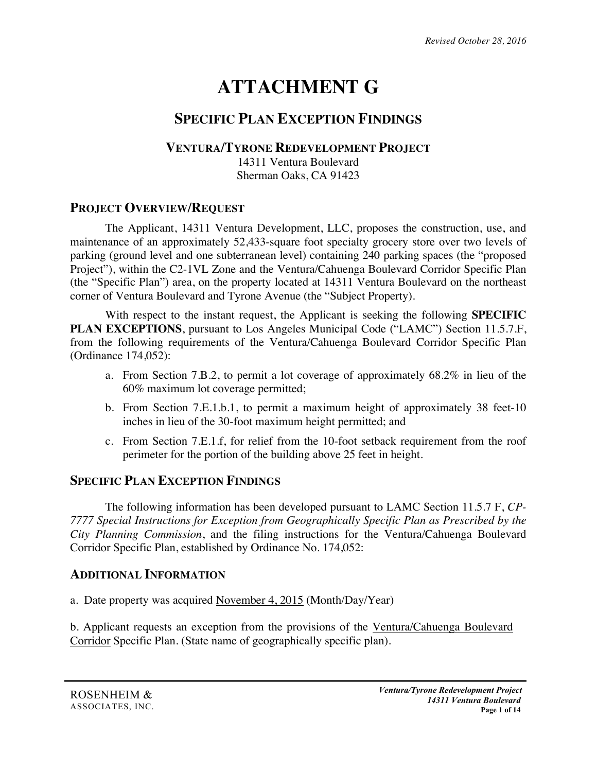# **ATTACHMENT G**

## **SPECIFIC PLAN EXCEPTION FINDINGS**

## **VENTURA/TYRONE REDEVELOPMENT PROJECT**

14311 Ventura Boulevard Sherman Oaks, CA 91423

## **PROJECT OVERVIEW/REQUEST**

The Applicant, 14311 Ventura Development, LLC, proposes the construction, use, and maintenance of an approximately 52,433-square foot specialty grocery store over two levels of parking (ground level and one subterranean level) containing 240 parking spaces (the "proposed Project"), within the C2-1VL Zone and the Ventura/Cahuenga Boulevard Corridor Specific Plan (the "Specific Plan") area, on the property located at 14311 Ventura Boulevard on the northeast corner of Ventura Boulevard and Tyrone Avenue (the "Subject Property).

With respect to the instant request, the Applicant is seeking the following **SPECIFIC PLAN EXCEPTIONS**, pursuant to Los Angeles Municipal Code ("LAMC") Section 11.5.7.F, from the following requirements of the Ventura/Cahuenga Boulevard Corridor Specific Plan (Ordinance 174,052):

- a. From Section 7.B.2, to permit a lot coverage of approximately 68.2% in lieu of the 60% maximum lot coverage permitted;
- b. From Section 7.E.1.b.1, to permit a maximum height of approximately 38 feet-10 inches in lieu of the 30-foot maximum height permitted; and
- c. From Section 7.E.1.f, for relief from the 10-foot setback requirement from the roof perimeter for the portion of the building above 25 feet in height.

## **SPECIFIC PLAN EXCEPTION FINDINGS**

The following information has been developed pursuant to LAMC Section 11.5.7 F, *CP-7777 Special Instructions for Exception from Geographically Specific Plan as Prescribed by the City Planning Commission*, and the filing instructions for the Ventura/Cahuenga Boulevard Corridor Specific Plan, established by Ordinance No. 174,052:

## **ADDITIONAL INFORMATION**

a. Date property was acquired November 4, 2015 (Month/Day/Year)

b. Applicant requests an exception from the provisions of the Ventura/Cahuenga Boulevard Corridor Specific Plan. (State name of geographically specific plan).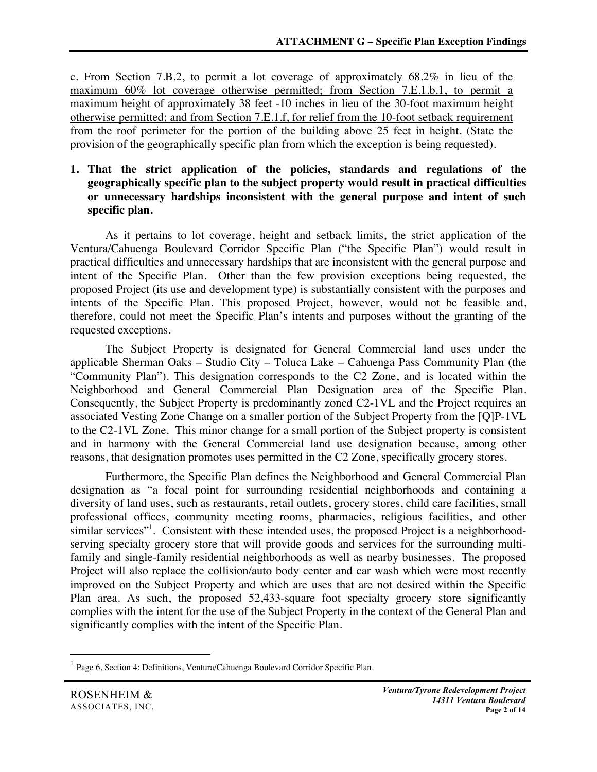c. From Section 7.B.2, to permit a lot coverage of approximately 68.2% in lieu of the maximum 60% lot coverage otherwise permitted; from Section 7.E.1.b.1, to permit a maximum height of approximately 38 feet -10 inches in lieu of the 30-foot maximum height otherwise permitted; and from Section 7.E.1.f, for relief from the 10-foot setback requirement from the roof perimeter for the portion of the building above 25 feet in height. (State the provision of the geographically specific plan from which the exception is being requested).

#### **1. That the strict application of the policies, standards and regulations of the geographically specific plan to the subject property would result in practical difficulties or unnecessary hardships inconsistent with the general purpose and intent of such specific plan.**

As it pertains to lot coverage, height and setback limits, the strict application of the Ventura/Cahuenga Boulevard Corridor Specific Plan ("the Specific Plan") would result in practical difficulties and unnecessary hardships that are inconsistent with the general purpose and intent of the Specific Plan. Other than the few provision exceptions being requested, the proposed Project (its use and development type) is substantially consistent with the purposes and intents of the Specific Plan. This proposed Project, however, would not be feasible and, therefore, could not meet the Specific Plan's intents and purposes without the granting of the requested exceptions.

The Subject Property is designated for General Commercial land uses under the applicable Sherman Oaks – Studio City – Toluca Lake – Cahuenga Pass Community Plan (the "Community Plan"). This designation corresponds to the C2 Zone, and is located within the Neighborhood and General Commercial Plan Designation area of the Specific Plan. Consequently, the Subject Property is predominantly zoned C2-1VL and the Project requires an associated Vesting Zone Change on a smaller portion of the Subject Property from the [Q]P-1VL to the C2-1VL Zone. This minor change for a small portion of the Subject property is consistent and in harmony with the General Commercial land use designation because, among other reasons, that designation promotes uses permitted in the C2 Zone, specifically grocery stores.

Furthermore, the Specific Plan defines the Neighborhood and General Commercial Plan designation as "a focal point for surrounding residential neighborhoods and containing a diversity of land uses, such as restaurants, retail outlets, grocery stores, child care facilities, small professional offices, community meeting rooms, pharmacies, religious facilities, and other similar services"<sup>1</sup>. Consistent with these intended uses, the proposed Project is a neighborhoodserving specialty grocery store that will provide goods and services for the surrounding multifamily and single-family residential neighborhoods as well as nearby businesses. The proposed Project will also replace the collision/auto body center and car wash which were most recently improved on the Subject Property and which are uses that are not desired within the Specific Plan area. As such, the proposed 52,433-square foot specialty grocery store significantly complies with the intent for the use of the Subject Property in the context of the General Plan and significantly complies with the intent of the Specific Plan.

 <sup>1</sup> Page 6, Section 4: Definitions, Ventura/Cahuenga Boulevard Corridor Specific Plan.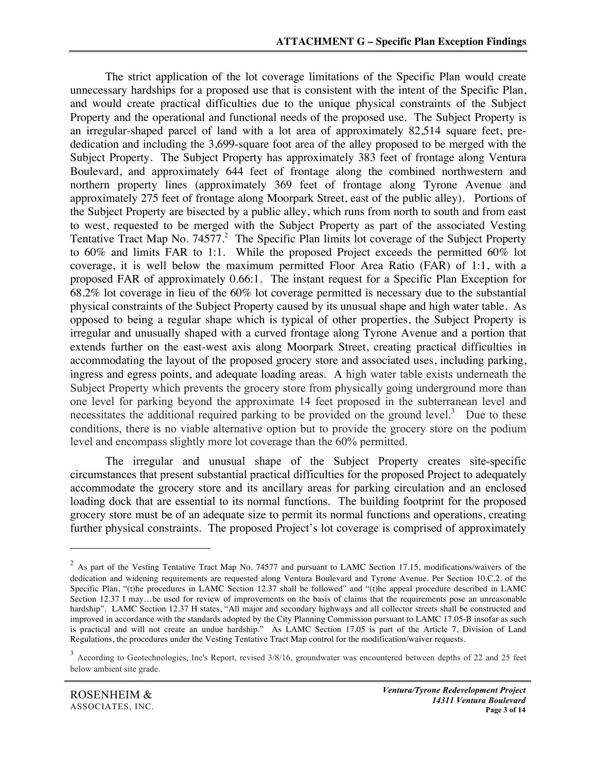The strict application of the lot coverage limitations of the Specific Plan would create unnecessary hardships for a proposed use that is consistent with the intent of the Specific Plan, and would create practical difficulties due to the unique physical constraints of the Subject Property and the operational and functional needs of the proposed use. The Subject Property is an irregular-shaped parcel of land with a lot area of approximately 82,514 square feet, prededication and including the 3,699-square foot area of the alley proposed to be merged with the Subject Property. The Subject Property has approximately 383 feet of frontage along Ventura Boulevard, and approximately 644 feet of frontage along the combined northwestern and northern property lines (approximately 369 feet of frontage along Tyrone Avenue and approximately 275 feet of frontage along Moorpark Street, east of the public alley). Portions of the Subject Property are bisected by a public alley, which runs from north to south and from east to west, requested to be merged with the Subject Property as part of the associated Vesting Tentative Tract Map No. 74577.<sup>2</sup> The Specific Plan limits lot coverage of the Subject Property to 60% and limits FAR to 1:1. While the proposed Project exceeds the permitted 60% lot coverage, it is well below the maximum permitted Floor Area Ratio (FAR) of 1:1, with a proposed FAR of approximately 0.66:1. The instant request for a Specific Plan Exception for 68.2% lot coverage in lieu of the 60% lot coverage permitted is necessary due to the substantial physical constraints of the Subject Property caused by its unusual shape and high water table. As opposed to being a regular shape which is typical of other properties, the Subject Property is irregular and unusually shaped with a curved frontage along Tyrone Avenue and a portion that extends further on the east-west axis along Moorpark Street, creating practical difficulties in accommodating the layout of the proposed grocery store and associated uses, including parking, ingress and egress points, and adequate loading areas. A high water table exists underneath the Subject Property which prevents the grocery store from physically going underground more than one level for parking beyond the approximate 14 feet proposed in the subterranean level and necessitates the additional required parking to be provided on the ground level.<sup>3</sup> Due to these conditions, there is no viable alternative option but to provide the grocery store on the podium level and encompass slightly more lot coverage than the 60% permitted.

The irregular and unusual shape of the Subject Property creates site-specific circumstances that present substantial practical difficulties for the proposed Project to adequately accommodate the grocery store and its ancillary areas for parking circulation and an enclosed loading dock that are essential to its normal functions. The building footprint for the proposed grocery store must be of an adequate size to permit its normal functions and operations, creating further physical constraints. The proposed Project's lot coverage is comprised of approximately

 $\overline{a}$ 

<sup>&</sup>lt;sup>2</sup> As part of the Vesting Tentative Tract Map No. 74577 and pursuant to LAMC Section 17.15, modifications/waivers of the dedication and widening requirements are requested along Ventura Boulevard and Tyrone Avenue. Per Section 10.C.2. of the Specific Plan, "(t)he procedures in LAMC Section 12.37 shall be followed" and "(t)he appeal procedure described in LAMC Section 12.37 I may...be used for review of improvements on the basis of claims that the requirements pose an unreasonable hardship". LAMC Section 12.37 H states, "All major and secondary highways and all collector streets shall be constructed and improved in accordance with the standards adopted by the City Planning Commission pursuant to LAMC 17.05-B insofar as such is practical and will not create an undue hardship." As LAMC Section 17.05 is part of the Article 7, Division of Land Regulations, the procedures under the Vesting Tentative Tract Map control for the modification/waiver requests.

<sup>&</sup>lt;sup>3</sup> According to Geotechnologies, Inc's Report, revised 3/8/16, groundwater was encountered between depths of 22 and 25 feet below ambient site grade.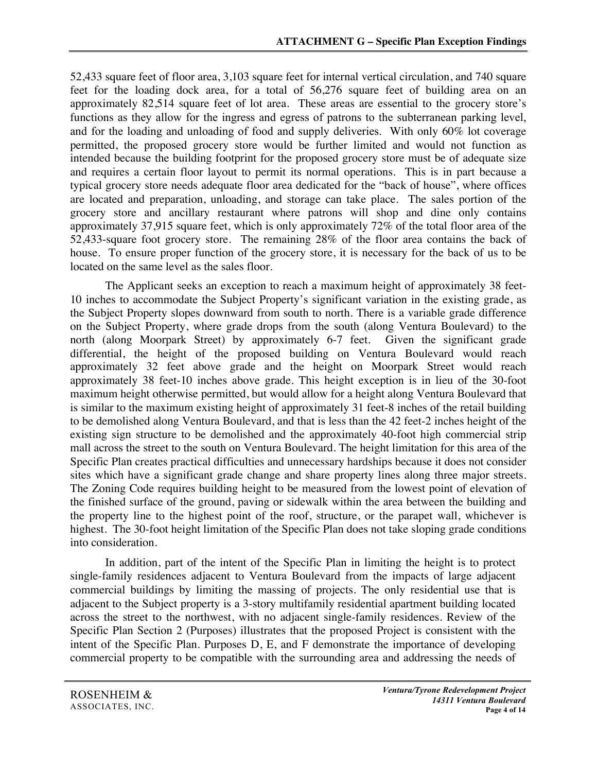52,433 square feet of floor area, 3,103 square feet for internal vertical circulation, and 740 square feet for the loading dock area, for a total of 56,276 square feet of building area on an approximately 82,514 square feet of lot area. These areas are essential to the grocery store's functions as they allow for the ingress and egress of patrons to the subterranean parking level, and for the loading and unloading of food and supply deliveries. With only 60% lot coverage permitted, the proposed grocery store would be further limited and would not function as intended because the building footprint for the proposed grocery store must be of adequate size and requires a certain floor layout to permit its normal operations. This is in part because a typical grocery store needs adequate floor area dedicated for the "back of house", where offices are located and preparation, unloading, and storage can take place. The sales portion of the grocery store and ancillary restaurant where patrons will shop and dine only contains approximately 37,915 square feet, which is only approximately 72% of the total floor area of the 52,433-square foot grocery store. The remaining 28% of the floor area contains the back of house. To ensure proper function of the grocery store, it is necessary for the back of us to be located on the same level as the sales floor.

The Applicant seeks an exception to reach a maximum height of approximately 38 feet-10 inches to accommodate the Subject Property's significant variation in the existing grade, as the Subject Property slopes downward from south to north. There is a variable grade difference on the Subject Property, where grade drops from the south (along Ventura Boulevard) to the north (along Moorpark Street) by approximately 6-7 feet. Given the significant grade differential, the height of the proposed building on Ventura Boulevard would reach approximately 32 feet above grade and the height on Moorpark Street would reach approximately 38 feet-10 inches above grade. This height exception is in lieu of the 30-foot maximum height otherwise permitted, but would allow for a height along Ventura Boulevard that is similar to the maximum existing height of approximately 31 feet-8 inches of the retail building to be demolished along Ventura Boulevard, and that is less than the 42 feet-2 inches height of the existing sign structure to be demolished and the approximately 40-foot high commercial strip mall across the street to the south on Ventura Boulevard. The height limitation for this area of the Specific Plan creates practical difficulties and unnecessary hardships because it does not consider sites which have a significant grade change and share property lines along three major streets. The Zoning Code requires building height to be measured from the lowest point of elevation of the finished surface of the ground, paving or sidewalk within the area between the building and the property line to the highest point of the roof, structure, or the parapet wall, whichever is highest. The 30-foot height limitation of the Specific Plan does not take sloping grade conditions into consideration.

In addition, part of the intent of the Specific Plan in limiting the height is to protect single-family residences adjacent to Ventura Boulevard from the impacts of large adjacent commercial buildings by limiting the massing of projects. The only residential use that is adjacent to the Subject property is a 3-story multifamily residential apartment building located across the street to the northwest, with no adjacent single-family residences. Review of the Specific Plan Section 2 (Purposes) illustrates that the proposed Project is consistent with the intent of the Specific Plan. Purposes D, E, and F demonstrate the importance of developing commercial property to be compatible with the surrounding area and addressing the needs of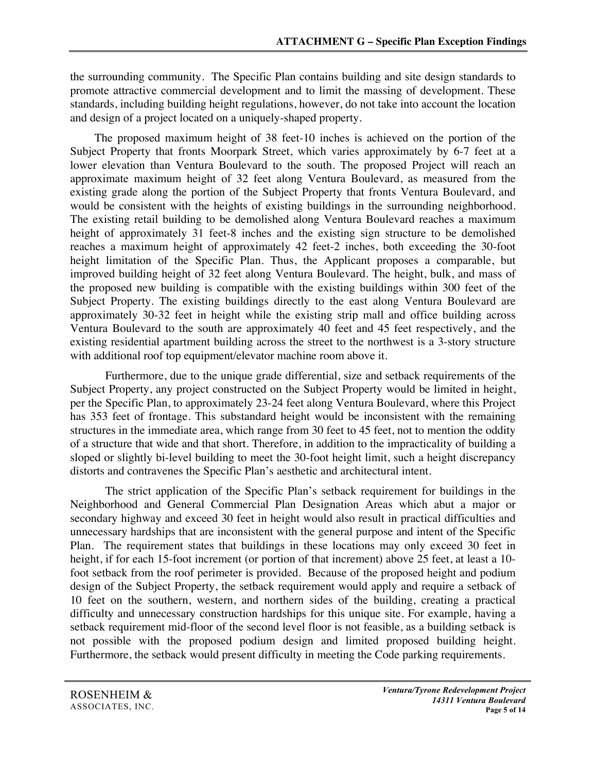the surrounding community. The Specific Plan contains building and site design standards to promote attractive commercial development and to limit the massing of development. These standards, including building height regulations, however, do not take into account the location and design of a project located on a uniquely-shaped property.

The proposed maximum height of 38 feet-10 inches is achieved on the portion of the Subject Property that fronts Moorpark Street, which varies approximately by 6-7 feet at a lower elevation than Ventura Boulevard to the south. The proposed Project will reach an approximate maximum height of 32 feet along Ventura Boulevard, as measured from the existing grade along the portion of the Subject Property that fronts Ventura Boulevard, and would be consistent with the heights of existing buildings in the surrounding neighborhood. The existing retail building to be demolished along Ventura Boulevard reaches a maximum height of approximately 31 feet-8 inches and the existing sign structure to be demolished reaches a maximum height of approximately 42 feet-2 inches, both exceeding the 30-foot height limitation of the Specific Plan. Thus, the Applicant proposes a comparable, but improved building height of 32 feet along Ventura Boulevard. The height, bulk, and mass of the proposed new building is compatible with the existing buildings within 300 feet of the Subject Property. The existing buildings directly to the east along Ventura Boulevard are approximately 30-32 feet in height while the existing strip mall and office building across Ventura Boulevard to the south are approximately 40 feet and 45 feet respectively, and the existing residential apartment building across the street to the northwest is a 3-story structure with additional roof top equipment/elevator machine room above it.

Furthermore, due to the unique grade differential, size and setback requirements of the Subject Property, any project constructed on the Subject Property would be limited in height, per the Specific Plan, to approximately 23-24 feet along Ventura Boulevard, where this Project has 353 feet of frontage. This substandard height would be inconsistent with the remaining structures in the immediate area, which range from 30 feet to 45 feet, not to mention the oddity of a structure that wide and that short. Therefore, in addition to the impracticality of building a sloped or slightly bi-level building to meet the 30-foot height limit, such a height discrepancy distorts and contravenes the Specific Plan's aesthetic and architectural intent.

The strict application of the Specific Plan's setback requirement for buildings in the Neighborhood and General Commercial Plan Designation Areas which abut a major or secondary highway and exceed 30 feet in height would also result in practical difficulties and unnecessary hardships that are inconsistent with the general purpose and intent of the Specific Plan. The requirement states that buildings in these locations may only exceed 30 feet in height, if for each 15-foot increment (or portion of that increment) above 25 feet, at least a 10foot setback from the roof perimeter is provided. Because of the proposed height and podium design of the Subject Property, the setback requirement would apply and require a setback of 10 feet on the southern, western, and northern sides of the building, creating a practical difficulty and unnecessary construction hardships for this unique site. For example, having a setback requirement mid-floor of the second level floor is not feasible, as a building setback is not possible with the proposed podium design and limited proposed building height. Furthermore, the setback would present difficulty in meeting the Code parking requirements.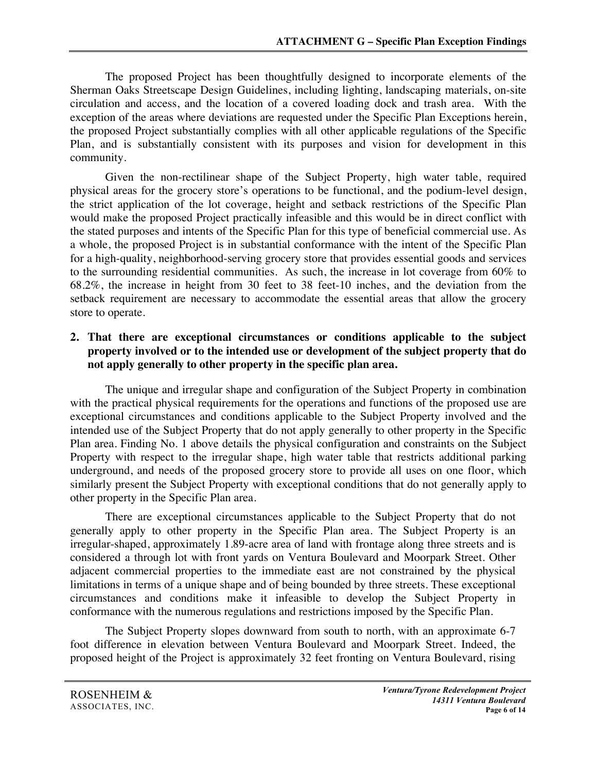The proposed Project has been thoughtfully designed to incorporate elements of the Sherman Oaks Streetscape Design Guidelines, including lighting, landscaping materials, on-site circulation and access, and the location of a covered loading dock and trash area. With the exception of the areas where deviations are requested under the Specific Plan Exceptions herein, the proposed Project substantially complies with all other applicable regulations of the Specific Plan, and is substantially consistent with its purposes and vision for development in this community.

Given the non-rectilinear shape of the Subject Property, high water table, required physical areas for the grocery store's operations to be functional, and the podium-level design, the strict application of the lot coverage, height and setback restrictions of the Specific Plan would make the proposed Project practically infeasible and this would be in direct conflict with the stated purposes and intents of the Specific Plan for this type of beneficial commercial use. As a whole, the proposed Project is in substantial conformance with the intent of the Specific Plan for a high-quality, neighborhood-serving grocery store that provides essential goods and services to the surrounding residential communities. As such, the increase in lot coverage from 60% to 68.2%, the increase in height from 30 feet to 38 feet-10 inches, and the deviation from the setback requirement are necessary to accommodate the essential areas that allow the grocery store to operate.

### **2. That there are exceptional circumstances or conditions applicable to the subject property involved or to the intended use or development of the subject property that do not apply generally to other property in the specific plan area.**

The unique and irregular shape and configuration of the Subject Property in combination with the practical physical requirements for the operations and functions of the proposed use are exceptional circumstances and conditions applicable to the Subject Property involved and the intended use of the Subject Property that do not apply generally to other property in the Specific Plan area. Finding No. 1 above details the physical configuration and constraints on the Subject Property with respect to the irregular shape, high water table that restricts additional parking underground, and needs of the proposed grocery store to provide all uses on one floor, which similarly present the Subject Property with exceptional conditions that do not generally apply to other property in the Specific Plan area.

There are exceptional circumstances applicable to the Subject Property that do not generally apply to other property in the Specific Plan area. The Subject Property is an irregular-shaped, approximately 1.89-acre area of land with frontage along three streets and is considered a through lot with front yards on Ventura Boulevard and Moorpark Street. Other adjacent commercial properties to the immediate east are not constrained by the physical limitations in terms of a unique shape and of being bounded by three streets. These exceptional circumstances and conditions make it infeasible to develop the Subject Property in conformance with the numerous regulations and restrictions imposed by the Specific Plan.

The Subject Property slopes downward from south to north, with an approximate 6-7 foot difference in elevation between Ventura Boulevard and Moorpark Street. Indeed, the proposed height of the Project is approximately 32 feet fronting on Ventura Boulevard, rising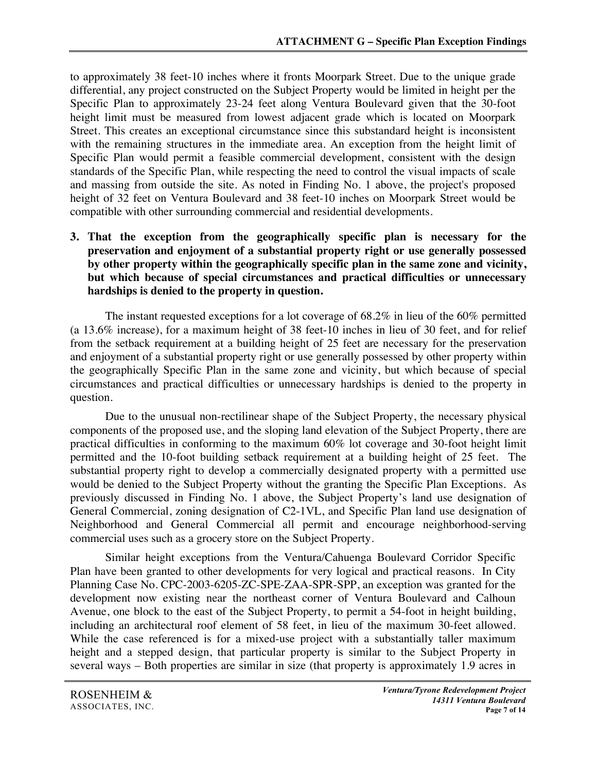to approximately 38 feet-10 inches where it fronts Moorpark Street. Due to the unique grade differential, any project constructed on the Subject Property would be limited in height per the Specific Plan to approximately 23-24 feet along Ventura Boulevard given that the 30-foot height limit must be measured from lowest adjacent grade which is located on Moorpark Street. This creates an exceptional circumstance since this substandard height is inconsistent with the remaining structures in the immediate area. An exception from the height limit of Specific Plan would permit a feasible commercial development, consistent with the design standards of the Specific Plan, while respecting the need to control the visual impacts of scale and massing from outside the site. As noted in Finding No. 1 above, the project's proposed height of 32 feet on Ventura Boulevard and 38 feet-10 inches on Moorpark Street would be compatible with other surrounding commercial and residential developments.

**3. That the exception from the geographically specific plan is necessary for the preservation and enjoyment of a substantial property right or use generally possessed by other property within the geographically specific plan in the same zone and vicinity, but which because of special circumstances and practical difficulties or unnecessary hardships is denied to the property in question.**

The instant requested exceptions for a lot coverage of 68.2% in lieu of the 60% permitted (a 13.6% increase), for a maximum height of 38 feet-10 inches in lieu of 30 feet, and for relief from the setback requirement at a building height of 25 feet are necessary for the preservation and enjoyment of a substantial property right or use generally possessed by other property within the geographically Specific Plan in the same zone and vicinity, but which because of special circumstances and practical difficulties or unnecessary hardships is denied to the property in question.

Due to the unusual non-rectilinear shape of the Subject Property, the necessary physical components of the proposed use, and the sloping land elevation of the Subject Property, there are practical difficulties in conforming to the maximum 60% lot coverage and 30-foot height limit permitted and the 10-foot building setback requirement at a building height of 25 feet. The substantial property right to develop a commercially designated property with a permitted use would be denied to the Subject Property without the granting the Specific Plan Exceptions. As previously discussed in Finding No. 1 above, the Subject Property's land use designation of General Commercial, zoning designation of C2-1VL, and Specific Plan land use designation of Neighborhood and General Commercial all permit and encourage neighborhood-serving commercial uses such as a grocery store on the Subject Property.

Similar height exceptions from the Ventura/Cahuenga Boulevard Corridor Specific Plan have been granted to other developments for very logical and practical reasons. In City Planning Case No. CPC-2003-6205-ZC-SPE-ZAA-SPR-SPP, an exception was granted for the development now existing near the northeast corner of Ventura Boulevard and Calhoun Avenue, one block to the east of the Subject Property, to permit a 54-foot in height building, including an architectural roof element of 58 feet, in lieu of the maximum 30-feet allowed. While the case referenced is for a mixed-use project with a substantially taller maximum height and a stepped design, that particular property is similar to the Subject Property in several ways – Both properties are similar in size (that property is approximately 1.9 acres in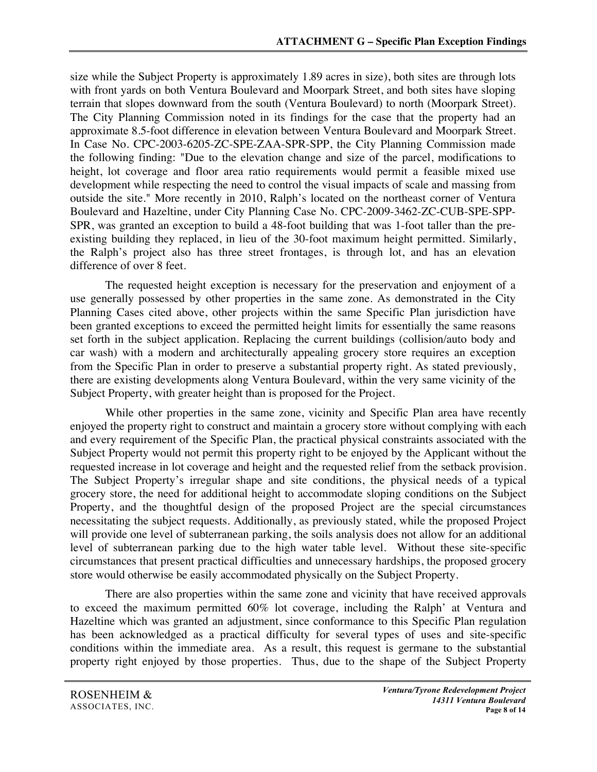size while the Subject Property is approximately 1.89 acres in size), both sites are through lots with front yards on both Ventura Boulevard and Moorpark Street, and both sites have sloping terrain that slopes downward from the south (Ventura Boulevard) to north (Moorpark Street). The City Planning Commission noted in its findings for the case that the property had an approximate 8.5-foot difference in elevation between Ventura Boulevard and Moorpark Street. In Case No. CPC-2003-6205-ZC-SPE-ZAA-SPR-SPP, the City Planning Commission made the following finding: "Due to the elevation change and size of the parcel, modifications to height, lot coverage and floor area ratio requirements would permit a feasible mixed use development while respecting the need to control the visual impacts of scale and massing from outside the site." More recently in 2010, Ralph's located on the northeast corner of Ventura Boulevard and Hazeltine, under City Planning Case No. CPC-2009-3462-ZC-CUB-SPE-SPP-SPR, was granted an exception to build a 48-foot building that was 1-foot taller than the preexisting building they replaced, in lieu of the 30-foot maximum height permitted. Similarly, the Ralph's project also has three street frontages, is through lot, and has an elevation difference of over 8 feet.

The requested height exception is necessary for the preservation and enjoyment of a use generally possessed by other properties in the same zone. As demonstrated in the City Planning Cases cited above, other projects within the same Specific Plan jurisdiction have been granted exceptions to exceed the permitted height limits for essentially the same reasons set forth in the subject application. Replacing the current buildings (collision/auto body and car wash) with a modern and architecturally appealing grocery store requires an exception from the Specific Plan in order to preserve a substantial property right. As stated previously, there are existing developments along Ventura Boulevard, within the very same vicinity of the Subject Property, with greater height than is proposed for the Project.

While other properties in the same zone, vicinity and Specific Plan area have recently enjoyed the property right to construct and maintain a grocery store without complying with each and every requirement of the Specific Plan, the practical physical constraints associated with the Subject Property would not permit this property right to be enjoyed by the Applicant without the requested increase in lot coverage and height and the requested relief from the setback provision. The Subject Property's irregular shape and site conditions, the physical needs of a typical grocery store, the need for additional height to accommodate sloping conditions on the Subject Property, and the thoughtful design of the proposed Project are the special circumstances necessitating the subject requests. Additionally, as previously stated, while the proposed Project will provide one level of subterranean parking, the soils analysis does not allow for an additional level of subterranean parking due to the high water table level. Without these site-specific circumstances that present practical difficulties and unnecessary hardships, the proposed grocery store would otherwise be easily accommodated physically on the Subject Property.

There are also properties within the same zone and vicinity that have received approvals to exceed the maximum permitted 60% lot coverage, including the Ralph' at Ventura and Hazeltine which was granted an adjustment, since conformance to this Specific Plan regulation has been acknowledged as a practical difficulty for several types of uses and site-specific conditions within the immediate area. As a result, this request is germane to the substantial property right enjoyed by those properties. Thus, due to the shape of the Subject Property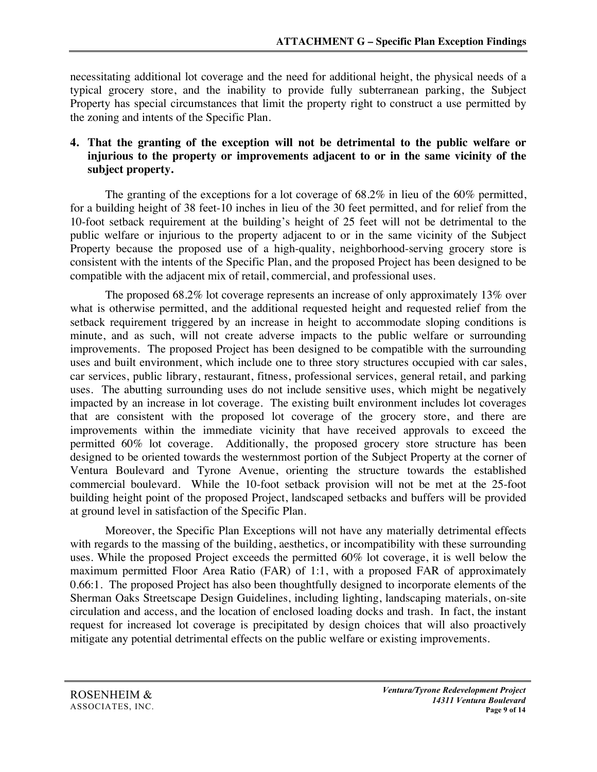necessitating additional lot coverage and the need for additional height, the physical needs of a typical grocery store, and the inability to provide fully subterranean parking, the Subject Property has special circumstances that limit the property right to construct a use permitted by the zoning and intents of the Specific Plan.

### **4. That the granting of the exception will not be detrimental to the public welfare or injurious to the property or improvements adjacent to or in the same vicinity of the subject property.**

The granting of the exceptions for a lot coverage of  $68.2\%$  in lieu of the  $60\%$  permitted, for a building height of 38 feet-10 inches in lieu of the 30 feet permitted, and for relief from the 10-foot setback requirement at the building's height of 25 feet will not be detrimental to the public welfare or injurious to the property adjacent to or in the same vicinity of the Subject Property because the proposed use of a high-quality, neighborhood-serving grocery store is consistent with the intents of the Specific Plan, and the proposed Project has been designed to be compatible with the adjacent mix of retail, commercial, and professional uses.

The proposed 68.2% lot coverage represents an increase of only approximately 13% over what is otherwise permitted, and the additional requested height and requested relief from the setback requirement triggered by an increase in height to accommodate sloping conditions is minute, and as such, will not create adverse impacts to the public welfare or surrounding improvements. The proposed Project has been designed to be compatible with the surrounding uses and built environment, which include one to three story structures occupied with car sales, car services, public library, restaurant, fitness, professional services, general retail, and parking uses. The abutting surrounding uses do not include sensitive uses, which might be negatively impacted by an increase in lot coverage. The existing built environment includes lot coverages that are consistent with the proposed lot coverage of the grocery store, and there are improvements within the immediate vicinity that have received approvals to exceed the permitted 60% lot coverage. Additionally, the proposed grocery store structure has been designed to be oriented towards the westernmost portion of the Subject Property at the corner of Ventura Boulevard and Tyrone Avenue, orienting the structure towards the established commercial boulevard. While the 10-foot setback provision will not be met at the 25-foot building height point of the proposed Project, landscaped setbacks and buffers will be provided at ground level in satisfaction of the Specific Plan.

Moreover, the Specific Plan Exceptions will not have any materially detrimental effects with regards to the massing of the building, aesthetics, or incompatibility with these surrounding uses. While the proposed Project exceeds the permitted 60% lot coverage, it is well below the maximum permitted Floor Area Ratio (FAR) of 1:1, with a proposed FAR of approximately 0.66:1. The proposed Project has also been thoughtfully designed to incorporate elements of the Sherman Oaks Streetscape Design Guidelines, including lighting, landscaping materials, on-site circulation and access, and the location of enclosed loading docks and trash. In fact, the instant request for increased lot coverage is precipitated by design choices that will also proactively mitigate any potential detrimental effects on the public welfare or existing improvements.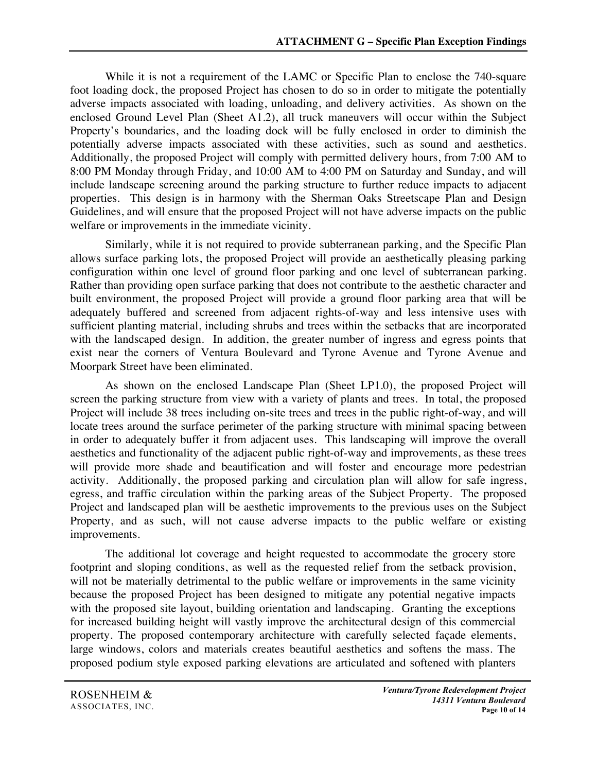While it is not a requirement of the LAMC or Specific Plan to enclose the 740-square foot loading dock, the proposed Project has chosen to do so in order to mitigate the potentially adverse impacts associated with loading, unloading, and delivery activities. As shown on the enclosed Ground Level Plan (Sheet A1.2), all truck maneuvers will occur within the Subject Property's boundaries, and the loading dock will be fully enclosed in order to diminish the potentially adverse impacts associated with these activities, such as sound and aesthetics. Additionally, the proposed Project will comply with permitted delivery hours, from 7:00 AM to 8:00 PM Monday through Friday, and 10:00 AM to 4:00 PM on Saturday and Sunday, and will include landscape screening around the parking structure to further reduce impacts to adjacent properties. This design is in harmony with the Sherman Oaks Streetscape Plan and Design Guidelines, and will ensure that the proposed Project will not have adverse impacts on the public welfare or improvements in the immediate vicinity.

Similarly, while it is not required to provide subterranean parking, and the Specific Plan allows surface parking lots, the proposed Project will provide an aesthetically pleasing parking configuration within one level of ground floor parking and one level of subterranean parking. Rather than providing open surface parking that does not contribute to the aesthetic character and built environment, the proposed Project will provide a ground floor parking area that will be adequately buffered and screened from adjacent rights-of-way and less intensive uses with sufficient planting material, including shrubs and trees within the setbacks that are incorporated with the landscaped design. In addition, the greater number of ingress and egress points that exist near the corners of Ventura Boulevard and Tyrone Avenue and Tyrone Avenue and Moorpark Street have been eliminated.

As shown on the enclosed Landscape Plan (Sheet LP1.0), the proposed Project will screen the parking structure from view with a variety of plants and trees. In total, the proposed Project will include 38 trees including on-site trees and trees in the public right-of-way, and will locate trees around the surface perimeter of the parking structure with minimal spacing between in order to adequately buffer it from adjacent uses. This landscaping will improve the overall aesthetics and functionality of the adjacent public right-of-way and improvements, as these trees will provide more shade and beautification and will foster and encourage more pedestrian activity. Additionally, the proposed parking and circulation plan will allow for safe ingress, egress, and traffic circulation within the parking areas of the Subject Property. The proposed Project and landscaped plan will be aesthetic improvements to the previous uses on the Subject Property, and as such, will not cause adverse impacts to the public welfare or existing improvements.

The additional lot coverage and height requested to accommodate the grocery store footprint and sloping conditions, as well as the requested relief from the setback provision, will not be materially detrimental to the public welfare or improvements in the same vicinity because the proposed Project has been designed to mitigate any potential negative impacts with the proposed site layout, building orientation and landscaping. Granting the exceptions for increased building height will vastly improve the architectural design of this commercial property. The proposed contemporary architecture with carefully selected façade elements, large windows, colors and materials creates beautiful aesthetics and softens the mass. The proposed podium style exposed parking elevations are articulated and softened with planters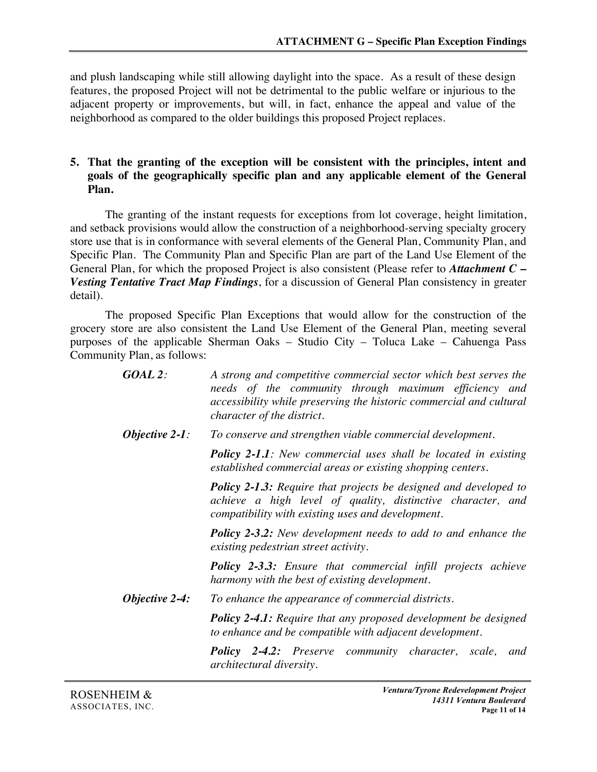and plush landscaping while still allowing daylight into the space. As a result of these design features, the proposed Project will not be detrimental to the public welfare or injurious to the adjacent property or improvements, but will, in fact, enhance the appeal and value of the neighborhood as compared to the older buildings this proposed Project replaces.

### **5. That the granting of the exception will be consistent with the principles, intent and goals of the geographically specific plan and any applicable element of the General Plan.**

The granting of the instant requests for exceptions from lot coverage, height limitation, and setback provisions would allow the construction of a neighborhood-serving specialty grocery store use that is in conformance with several elements of the General Plan, Community Plan, and Specific Plan. The Community Plan and Specific Plan are part of the Land Use Element of the General Plan, for which the proposed Project is also consistent (Please refer to *Attachment C – Vesting Tentative Tract Map Findings*, for a discussion of General Plan consistency in greater detail).

The proposed Specific Plan Exceptions that would allow for the construction of the grocery store are also consistent the Land Use Element of the General Plan, meeting several purposes of the applicable Sherman Oaks – Studio City – Toluca Lake – Cahuenga Pass Community Plan, as follows:

| $GOAL$ 2:         | A strong and competitive commercial sector which best serves the<br>needs of the community through maximum efficiency and<br>accessibility while preserving the historic commercial and cultural<br><i>character of the district.</i> |
|-------------------|---------------------------------------------------------------------------------------------------------------------------------------------------------------------------------------------------------------------------------------|
| Objective $2-1$ : | To conserve and strengthen viable commercial development.                                                                                                                                                                             |
|                   | <b>Policy 2-1.1:</b> New commercial uses shall be located in existing<br>established commercial areas or existing shopping centers.                                                                                                   |
|                   | <b>Policy 2-1.3:</b> Require that projects be designed and developed to<br>achieve a high level of quality, distinctive character, and<br>compatibility with existing uses and development.                                           |
|                   | <b>Policy 2-3.2:</b> New development needs to add to and enhance the<br>existing pedestrian street activity.                                                                                                                          |
|                   | <b>Policy 2-3.3:</b> Ensure that commercial infill projects achieve<br>harmony with the best of existing development.                                                                                                                 |
| Objective $2-4$ : | To enhance the appearance of commercial districts.                                                                                                                                                                                    |
|                   | <b>Policy 2-4.1:</b> Require that any proposed development be designed<br>to enhance and be compatible with adjacent development.                                                                                                     |
|                   | <b>Policy 2-4.2:</b> Preserve community character, scale, and<br><i>architectural diversity.</i>                                                                                                                                      |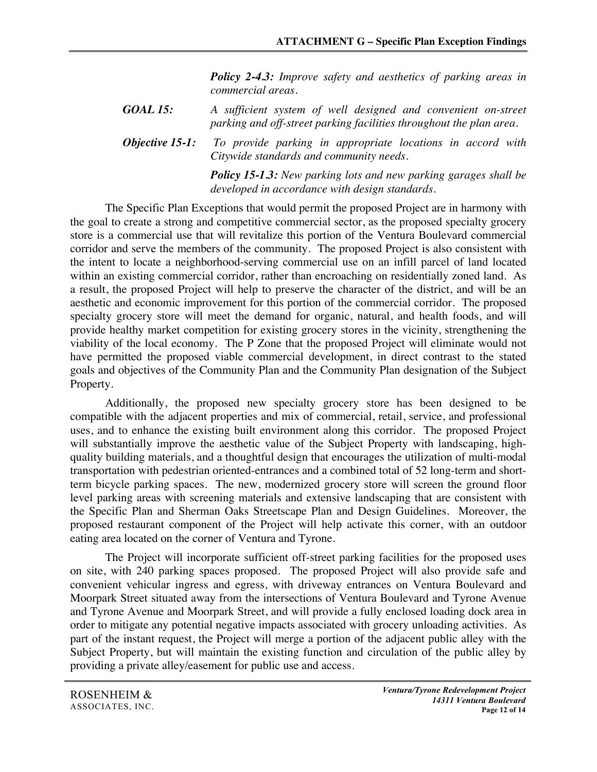*Policy 2-4.3: Improve safety and aesthetics of parking areas in commercial areas.*

*GOAL 15: A sufficient system of well designed and convenient on-street parking and off-street parking facilities throughout the plan area.*

*Objective 15-1: To provide parking in appropriate locations in accord with Citywide standards and community needs.*

> *Policy 15-1.3: New parking lots and new parking garages shall be developed in accordance with design standards.*

The Specific Plan Exceptions that would permit the proposed Project are in harmony with the goal to create a strong and competitive commercial sector, as the proposed specialty grocery store is a commercial use that will revitalize this portion of the Ventura Boulevard commercial corridor and serve the members of the community. The proposed Project is also consistent with the intent to locate a neighborhood-serving commercial use on an infill parcel of land located within an existing commercial corridor, rather than encroaching on residentially zoned land. As a result, the proposed Project will help to preserve the character of the district, and will be an aesthetic and economic improvement for this portion of the commercial corridor. The proposed specialty grocery store will meet the demand for organic, natural, and health foods, and will provide healthy market competition for existing grocery stores in the vicinity, strengthening the viability of the local economy. The P Zone that the proposed Project will eliminate would not have permitted the proposed viable commercial development, in direct contrast to the stated goals and objectives of the Community Plan and the Community Plan designation of the Subject Property.

Additionally, the proposed new specialty grocery store has been designed to be compatible with the adjacent properties and mix of commercial, retail, service, and professional uses, and to enhance the existing built environment along this corridor. The proposed Project will substantially improve the aesthetic value of the Subject Property with landscaping, highquality building materials, and a thoughtful design that encourages the utilization of multi-modal transportation with pedestrian oriented-entrances and a combined total of 52 long-term and shortterm bicycle parking spaces. The new, modernized grocery store will screen the ground floor level parking areas with screening materials and extensive landscaping that are consistent with the Specific Plan and Sherman Oaks Streetscape Plan and Design Guidelines. Moreover, the proposed restaurant component of the Project will help activate this corner, with an outdoor eating area located on the corner of Ventura and Tyrone.

The Project will incorporate sufficient off-street parking facilities for the proposed uses on site, with 240 parking spaces proposed. The proposed Project will also provide safe and convenient vehicular ingress and egress, with driveway entrances on Ventura Boulevard and Moorpark Street situated away from the intersections of Ventura Boulevard and Tyrone Avenue and Tyrone Avenue and Moorpark Street, and will provide a fully enclosed loading dock area in order to mitigate any potential negative impacts associated with grocery unloading activities. As part of the instant request, the Project will merge a portion of the adjacent public alley with the Subject Property, but will maintain the existing function and circulation of the public alley by providing a private alley/easement for public use and access.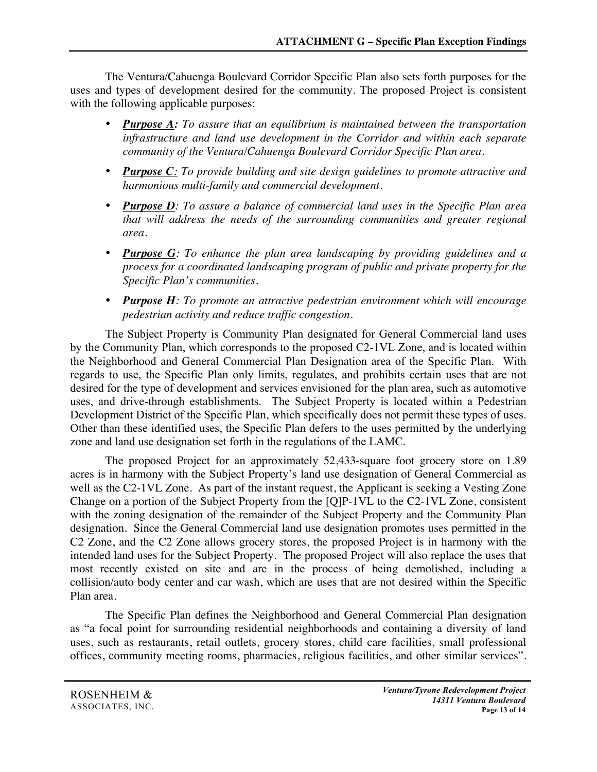The Ventura/Cahuenga Boulevard Corridor Specific Plan also sets forth purposes for the uses and types of development desired for the community. The proposed Project is consistent with the following applicable purposes:

- *Purpose A: To assure that an equilibrium is maintained between the transportation infrastructure and land use development in the Corridor and within each separate community of the Ventura/Cahuenga Boulevard Corridor Specific Plan area.*
- *Purpose C: To provide building and site design guidelines to promote attractive and harmonious multi-family and commercial development.*
- *Purpose D: To assure a balance of commercial land uses in the Specific Plan area that will address the needs of the surrounding communities and greater regional area.*
- *Purpose G: To enhance the plan area landscaping by providing guidelines and a process for a coordinated landscaping program of public and private property for the Specific Plan's communities.*
- *Purpose H: To promote an attractive pedestrian environment which will encourage pedestrian activity and reduce traffic congestion.*

The Subject Property is Community Plan designated for General Commercial land uses by the Community Plan, which corresponds to the proposed C2-1VL Zone, and is located within the Neighborhood and General Commercial Plan Designation area of the Specific Plan. With regards to use, the Specific Plan only limits, regulates, and prohibits certain uses that are not desired for the type of development and services envisioned for the plan area, such as automotive uses, and drive-through establishments. The Subject Property is located within a Pedestrian Development District of the Specific Plan, which specifically does not permit these types of uses. Other than these identified uses, the Specific Plan defers to the uses permitted by the underlying zone and land use designation set forth in the regulations of the LAMC.

The proposed Project for an approximately 52,433-square foot grocery store on 1.89 acres is in harmony with the Subject Property's land use designation of General Commercial as well as the C2-1VL Zone. As part of the instant request, the Applicant is seeking a Vesting Zone Change on a portion of the Subject Property from the [Q]P-1VL to the C2-1VL Zone, consistent with the zoning designation of the remainder of the Subject Property and the Community Plan designation. Since the General Commercial land use designation promotes uses permitted in the C2 Zone, and the C2 Zone allows grocery stores, the proposed Project is in harmony with the intended land uses for the Subject Property. The proposed Project will also replace the uses that most recently existed on site and are in the process of being demolished, including a collision/auto body center and car wash, which are uses that are not desired within the Specific Plan area.

The Specific Plan defines the Neighborhood and General Commercial Plan designation as "a focal point for surrounding residential neighborhoods and containing a diversity of land uses, such as restaurants, retail outlets, grocery stores, child care facilities, small professional offices, community meeting rooms, pharmacies, religious facilities, and other similar services".